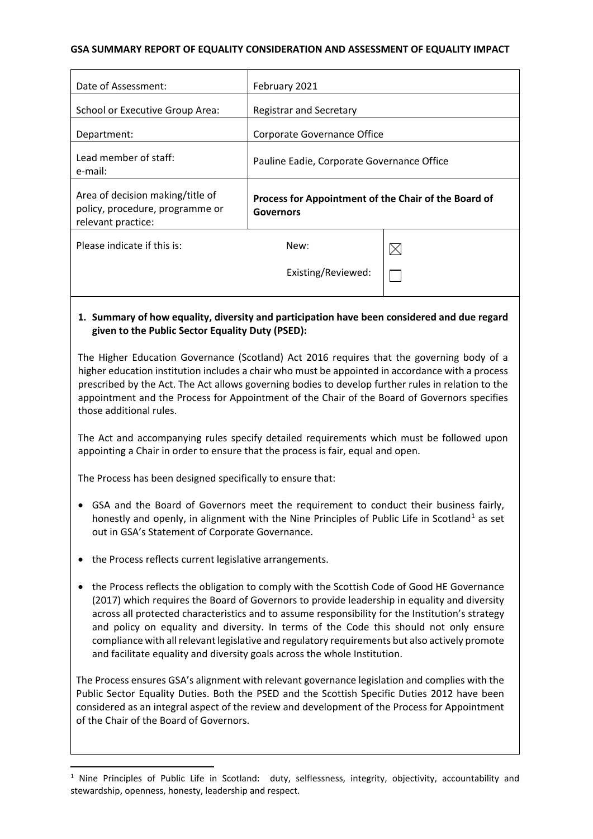#### **GSA SUMMARY REPORT OF EQUALITY CONSIDERATION AND ASSESSMENT OF EQUALITY IMPACT**

| Date of Assessment:                                                                       | February 2021                                                            |             |
|-------------------------------------------------------------------------------------------|--------------------------------------------------------------------------|-------------|
| School or Executive Group Area:                                                           | <b>Registrar and Secretary</b>                                           |             |
| Department:                                                                               | Corporate Governance Office                                              |             |
| Lead member of staff:<br>e-mail:                                                          | Pauline Eadie, Corporate Governance Office                               |             |
| Area of decision making/title of<br>policy, procedure, programme or<br>relevant practice: | Process for Appointment of the Chair of the Board of<br><b>Governors</b> |             |
| Please indicate if this is:                                                               | New:                                                                     | $\boxtimes$ |
|                                                                                           | Existing/Reviewed:                                                       |             |
|                                                                                           |                                                                          |             |

## **1. Summary of how equality, diversity and participation have been considered and due regard given to the Public Sector Equality Duty (PSED):**

The Higher Education Governance (Scotland) Act 2016 requires that the governing body of a higher education institution includes a chair who must be appointed in accordance with a process prescribed by the Act. The Act allows governing bodies to develop further rules in relation to the appointment and the Process for Appointment of the Chair of the Board of Governors specifies those additional rules.

The Act and accompanying rules specify detailed requirements which must be followed upon appointing a Chair in order to ensure that the process is fair, equal and open.

The Process has been designed specifically to ensure that:

- GSA and the Board of Governors meet the requirement to conduct their business fairly, honestly and openly, in alignment with the Nine Principles of Public Life in Scotland<sup>[1](#page-0-0)</sup> as set out in GSA's Statement of Corporate Governance.
- the Process reflects current legislative arrangements.
- the Process reflects the obligation to comply with the Scottish Code of Good HE Governance (2017) which requires the Board of Governors to provide leadership in equality and diversity across all protected characteristics and to assume responsibility for the Institution's strategy and policy on equality and diversity. In terms of the Code this should not only ensure compliance with all relevant legislative and regulatory requirements but also actively promote and facilitate equality and diversity goals across the whole Institution.

The Process ensures GSA's alignment with relevant governance legislation and complies with the Public Sector Equality Duties. Both the PSED and the Scottish Specific Duties 2012 have been considered as an integral aspect of the review and development of the Process for Appointment of the Chair of the Board of Governors.

<span id="page-0-0"></span><sup>&</sup>lt;sup>1</sup> Nine Principles of Public Life in Scotland: duty, selflessness, integrity, objectivity, accountability and stewardship, openness, honesty, leadership and respect.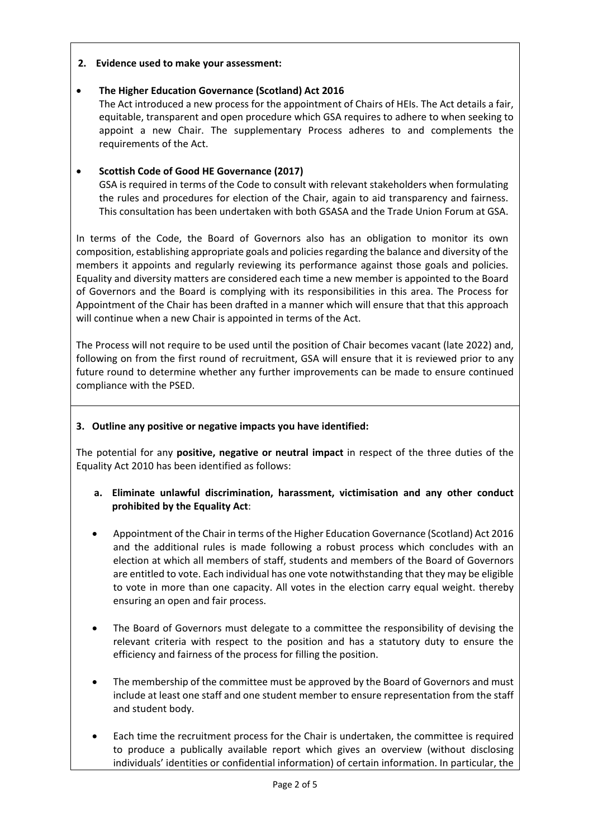## **2. Evidence used to make your assessment:**

## • **The Higher Education Governance (Scotland) Act 2016**

The Act introduced a new process for the appointment of Chairs of HEIs. The Act details a fair, equitable, transparent and open procedure which GSA requires to adhere to when seeking to appoint a new Chair. The supplementary Process adheres to and complements the requirements of the Act.

## • **Scottish Code of Good HE Governance (2017)**

GSA is required in terms of the Code to consult with relevant stakeholders when formulating the rules and procedures for election of the Chair, again to aid transparency and fairness. This consultation has been undertaken with both GSASA and the Trade Union Forum at GSA.

In terms of the Code, the Board of Governors also has an obligation to monitor its own composition, establishing appropriate goals and policies regarding the balance and diversity of the members it appoints and regularly reviewing its performance against those goals and policies. Equality and diversity matters are considered each time a new member is appointed to the Board of Governors and the Board is complying with its responsibilities in this area. The Process for Appointment of the Chair has been drafted in a manner which will ensure that that this approach will continue when a new Chair is appointed in terms of the Act.

The Process will not require to be used until the position of Chair becomes vacant (late 2022) and, following on from the first round of recruitment, GSA will ensure that it is reviewed prior to any future round to determine whether any further improvements can be made to ensure continued compliance with the PSED.

## **3. Outline any positive or negative impacts you have identified:**

The potential for any **positive, negative or neutral impact** in respect of the three duties of the Equality Act 2010 has been identified as follows:

- **a. Eliminate unlawful discrimination, harassment, victimisation and any other conduct prohibited by the Equality Act**:
- Appointment of the Chair in terms of the Higher Education Governance (Scotland) Act 2016 and the additional rules is made following a robust process which concludes with an election at which all members of staff, students and members of the Board of Governors are entitled to vote. Each individual has one vote notwithstanding that they may be eligible to vote in more than one capacity. All votes in the election carry equal weight. thereby ensuring an open and fair process.
- The Board of Governors must delegate to a committee the responsibility of devising the relevant criteria with respect to the position and has a statutory duty to ensure the efficiency and fairness of the process for filling the position.
- The membership of the committee must be approved by the Board of Governors and must include at least one staff and one student member to ensure representation from the staff and student body.
- Each time the recruitment process for the Chair is undertaken, the committee is required to produce a publically available report which gives an overview (without disclosing individuals' identities or confidential information) of certain information. In particular, the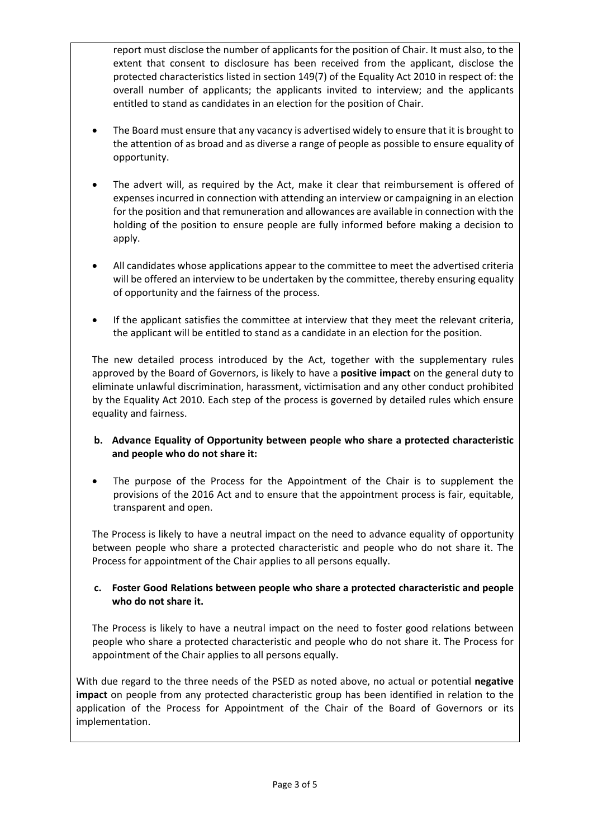report must disclose the number of applicants for the position of Chair. It must also, to the extent that consent to disclosure has been received from the applicant, disclose the protected characteristics listed in section 149(7) of the Equality Act 2010 in respect of: the overall number of applicants; the applicants invited to interview; and the applicants entitled to stand as candidates in an election for the position of Chair.

- The Board must ensure that any vacancy is advertised widely to ensure that it is brought to the attention of as broad and as diverse a range of people as possible to ensure equality of opportunity.
- The advert will, as required by the Act, make it clear that reimbursement is offered of expenses incurred in connection with attending an interview or campaigning in an election for the position and that remuneration and allowances are available in connection with the holding of the position to ensure people are fully informed before making a decision to apply.
- All candidates whose applications appear to the committee to meet the advertised criteria will be offered an interview to be undertaken by the committee, thereby ensuring equality of opportunity and the fairness of the process.
- If the applicant satisfies the committee at interview that they meet the relevant criteria, the applicant will be entitled to stand as a candidate in an election for the position.

The new detailed process introduced by the Act, together with the supplementary rules approved by the Board of Governors, is likely to have a **positive impact** on the general duty to eliminate unlawful discrimination, harassment, victimisation and any other conduct prohibited by the Equality Act 2010. Each step of the process is governed by detailed rules which ensure equality and fairness.

## **b. Advance Equality of Opportunity between people who share a protected characteristic and people who do not share it:**

The purpose of the Process for the Appointment of the Chair is to supplement the provisions of the 2016 Act and to ensure that the appointment process is fair, equitable, transparent and open.

The Process is likely to have a neutral impact on the need to advance equality of opportunity between people who share a protected characteristic and people who do not share it. The Process for appointment of the Chair applies to all persons equally.

## **c. Foster Good Relations between people who share a protected characteristic and people who do not share it.**

The Process is likely to have a neutral impact on the need to foster good relations between people who share a protected characteristic and people who do not share it. The Process for appointment of the Chair applies to all persons equally.

With due regard to the three needs of the PSED as noted above, no actual or potential **negative impact** on people from any protected characteristic group has been identified in relation to the application of the Process for Appointment of the Chair of the Board of Governors or its implementation.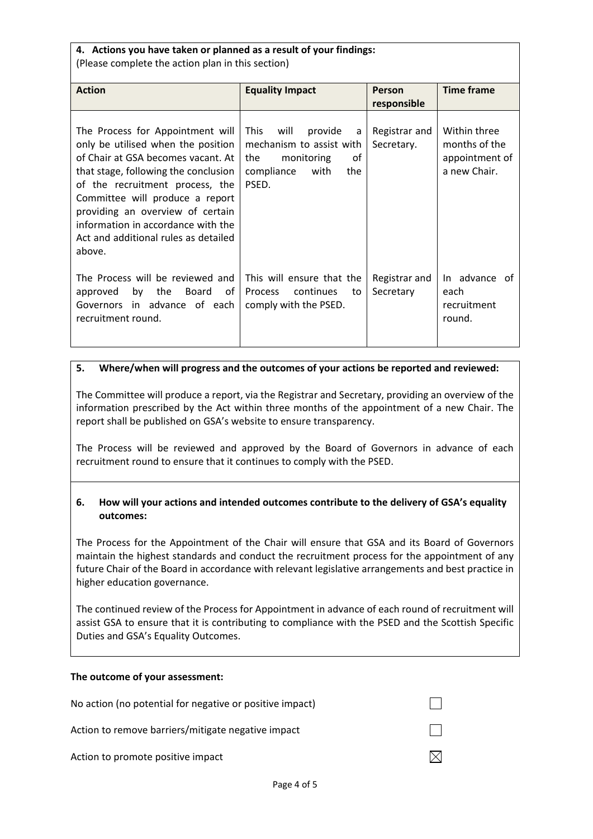#### **4. Actions you have taken or planned as a result of your findings:**  (Please complete the action plan in this section)

| <b>Action</b>                                                                                                                                                                                                                                                                                                                                          | <b>Equality Impact</b>                                                                                                           | <b>Person</b>               | <b>Time frame</b>                                               |
|--------------------------------------------------------------------------------------------------------------------------------------------------------------------------------------------------------------------------------------------------------------------------------------------------------------------------------------------------------|----------------------------------------------------------------------------------------------------------------------------------|-----------------------------|-----------------------------------------------------------------|
|                                                                                                                                                                                                                                                                                                                                                        |                                                                                                                                  | responsible                 |                                                                 |
| The Process for Appointment will<br>only be utilised when the position<br>of Chair at GSA becomes vacant. At<br>that stage, following the conclusion<br>of the recruitment process, the<br>Committee will produce a report<br>providing an overview of certain<br>information in accordance with the<br>Act and additional rules as detailed<br>above. | <b>This</b><br>will<br>provide<br>a<br>mechanism to assist with<br>οf<br>the<br>monitoring<br>compliance<br>with<br>the<br>PSED. | Registrar and<br>Secretary. | Within three<br>months of the<br>appointment of<br>a new Chair. |
| The Process will be reviewed and<br>by<br>Board<br>of<br>the<br>approved<br>Governors in advance of each<br>recruitment round.                                                                                                                                                                                                                         | This will ensure that the<br>continues<br>Process<br>to<br>comply with the PSED.                                                 | Registrar and<br>Secretary  | In advance of<br>each<br>recruitment<br>round.                  |

#### **5. Where/when will progress and the outcomes of your actions be reported and reviewed:**

The Committee will produce a report, via the Registrar and Secretary, providing an overview of the information prescribed by the Act within three months of the appointment of a new Chair. The report shall be published on GSA's website to ensure transparency.

The Process will be reviewed and approved by the Board of Governors in advance of each recruitment round to ensure that it continues to comply with the PSED.

## **6. How will your actions and intended outcomes contribute to the delivery of GSA's equality outcomes:**

The Process for the Appointment of the Chair will ensure that GSA and its Board of Governors maintain the highest standards and conduct the recruitment process for the appointment of any future Chair of the Board in accordance with relevant legislative arrangements and best practice in higher education governance.

The continued review of the Process for Appointment in advance of each round of recruitment will assist GSA to ensure that it is contributing to compliance with the PSED and the Scottish Specific Duties and GSA's Equality Outcomes.

#### **The outcome of your assessment:**

| No action (no potential for negative or positive impact) |  |
|----------------------------------------------------------|--|
| Action to remove barriers/mitigate negative impact       |  |
| Action to promote positive impact                        |  |